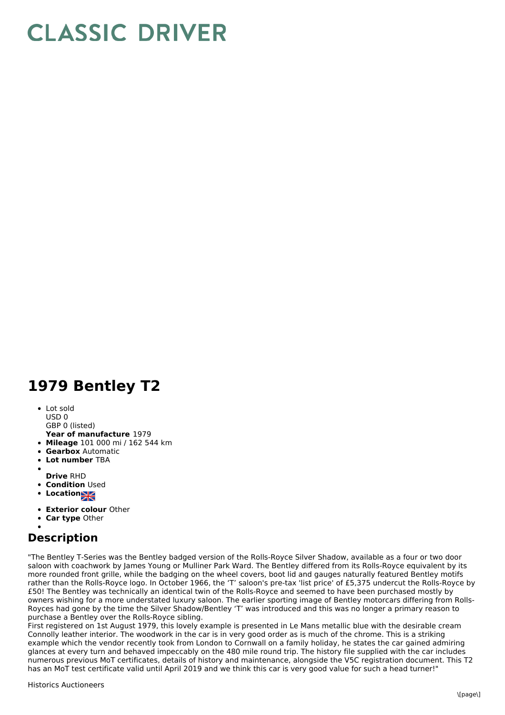## **CLASSIC DRIVER**

## **1979 Bentley T2**

• Lot sold USD 0

GBP 0 (listed)

- **Year of manufacture** 1979
- **Mileage** 101 000 mi / 162 544 km
- **Gearbox** Automatic
- **Lot number** TBA
- 
- **Drive** RHD
- **Condition Used**
- **Locations**
- **Exterior colour** Other
- **Car type** Other

## **Description**

"The Bentley T-Series was the Bentley badged version of the Rolls-Royce Silver Shadow, available as a four or two door saloon with coachwork by James Young or Mulliner Park Ward. The Bentley differed from its Rolls-Royce equivalent by its more rounded front grille, while the badging on the wheel covers, boot lid and gauges naturally featured Bentley motifs rather than the Rolls-Royce logo. In October 1966, the 'T' saloon's pre-tax 'list price' of £5,375 undercut the Rolls-Royce by £50! The Bentley was technically an identical twin of the Rolls-Royce and seemed to have been purchased mostly by owners wishing for a more understated luxury saloon. The earlier sporting image of Bentley motorcars differing from Rolls-Royces had gone by the time the Silver Shadow/Bentley 'T' was introduced and this was no longer a primary reason to purchase a Bentley over the Rolls-Royce sibling.

First registered on 1st August 1979, this lovely example is presented in Le Mans metallic blue with the desirable cream Connolly leather interior. The woodwork in the car is in very good order as is much of the chrome. This is a striking example which the vendor recently took from London to Cornwall on a family holiday, he states the car gained admiring glances at every turn and behaved impeccably on the 480 mile round trip. The history file supplied with the car includes numerous previous MoT certificates, details of history and maintenance, alongside the V5C registration document. This T2 has an MoT test certificate valid until April 2019 and we think this car is very good value for such a head turner!"